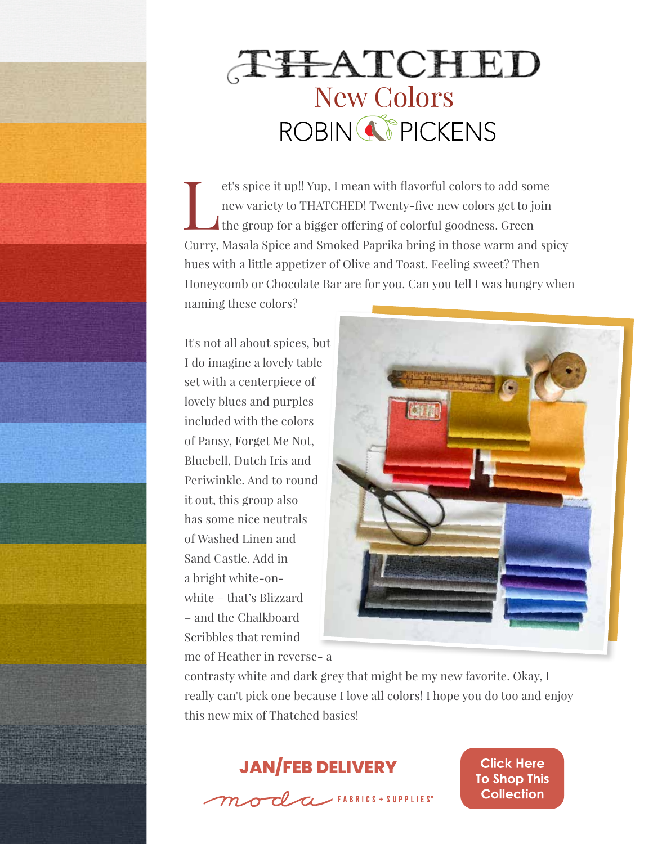

## THATCHED<br>New Colors<br>ROBIN CPICKENS

et's spice it up!! Yup, I mean with flavorful colors to add some<br>new variety to THATCHED! Twenty-five new colors get to join<br>the group for a bigger offering of colorful goodness. Green new variety to THATCHED! Twenty-five new colors get to join the group for a bigger offering of colorful goodness. Green Curry, Masala Spice and Smoked Paprika bring in those warm and spicy hues with a little appetizer of Olive and Toast. Feeling sweet? Then Honeycomb or Chocolate Bar are for you. Can you tell I was hungry when naming these colors?

It's not all about spices, but I do imagine a lovely table set with a centerpiece of lovely blues and purples included with the colors of Pansy, Forget Me Not, Bluebell, Dutch Iris and Periwinkle. And to round it out, this group also has some nice neutrals of Washed Linen and Sand Castle. Add in a bright white-onwhite – that's Blizzard – and the Chalkboard Scribbles that remind me of Heather in reverse- a



contrasty white and dark grey that might be my new favorite. Okay, I really can't pick one because I love all colors! I hope you do too and enjoy this new mix of Thatched basics!



 $m$  or  $l$  a FABRICS + SUPPLIES\*

**Click Here To Shop This Collection**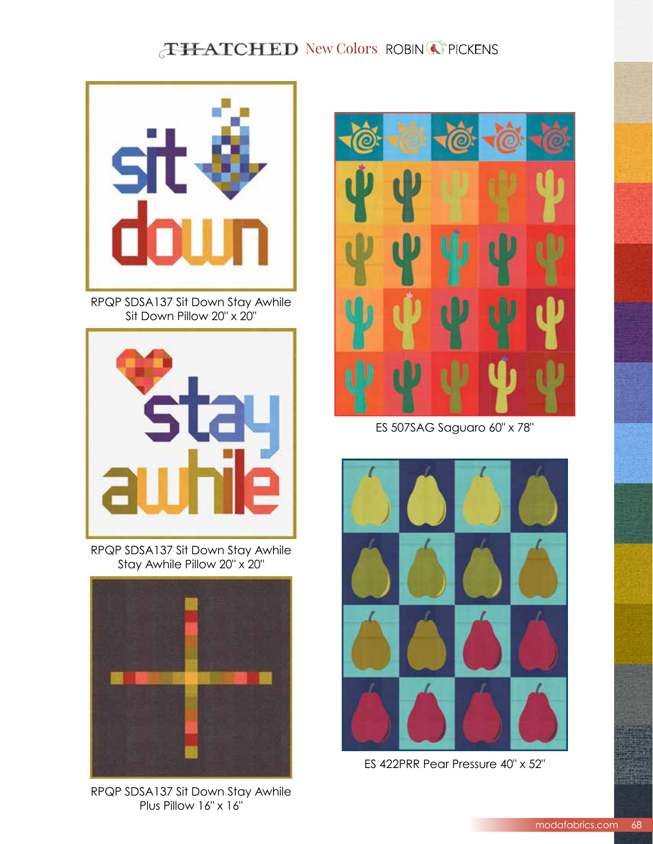## **THATCHED New Colors ROBIN COPICKENS**



RPQP SDSA137 Sit Down Stay Awhile Sit Down Pillow 20" x 20"



RPQP SDSA137 Sit Down Stay Awhile Stay Awhile Pillow 20" x 20"



RPQP SDSA137 Sit Down Stay Awhile Plus Pillow 16" x 16"



ES 507SAG Saguaro 60" x 78"



ES 422PRR Pear Pressure 40" x 52"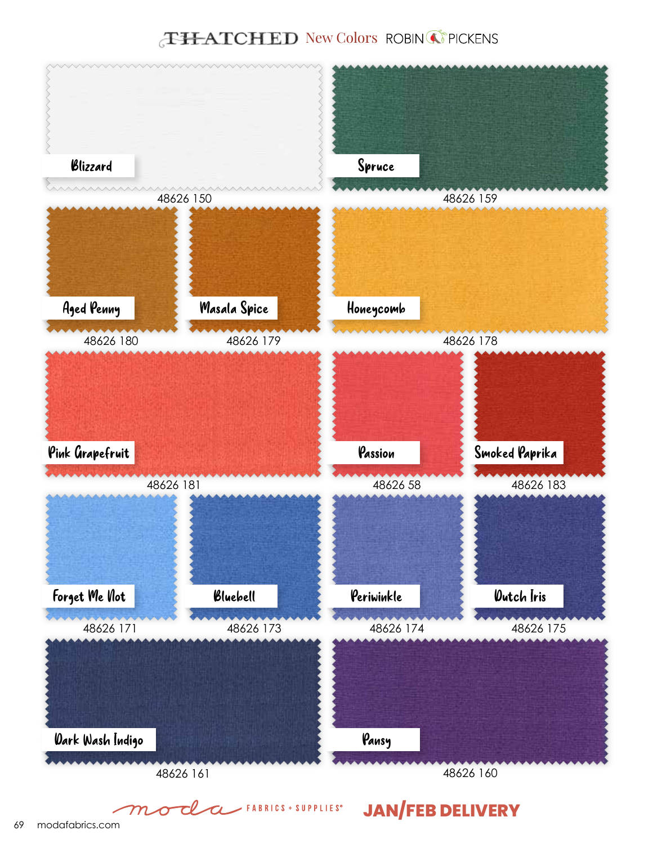## **THATCHED** New Colors ROBIN CPICKENS